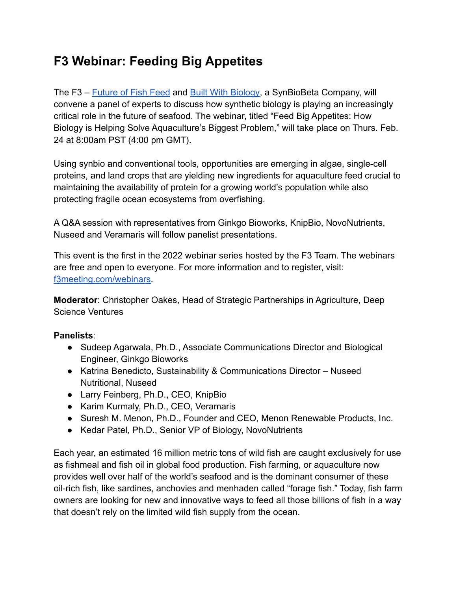## **F3 Webinar: Feeding Big Appetites**

The F3 – [Future of Fish Feed](http://f3challenge.org) and [Built With Biology](https://www.builtwithbiology.com/), a SynBioBeta Company, will convene a panel of experts to discuss how synthetic biology is playing an increasingly critical role in the future of seafood. The webinar, titled "Feed Big Appetites: How Biology is Helping Solve Aquaculture's Biggest Problem," will take place on Thurs. Feb. 24 at 8:00am PST (4:00 pm GMT).

Using synbio and conventional tools, opportunities are emerging in algae, single-cell proteins, and land crops that are yielding new ingredients for aquaculture feed crucial to maintaining the availability of protein for a growing world's population while also protecting fragile ocean ecosystems from overfishing.

A Q&A session with representatives from Ginkgo Bioworks, KnipBio, NovoNutrients, Nuseed and Veramaris will follow panelist presentations.

This event is the first in the 2022 webinar series hosted by the F3 Team. The webinars are free and open to everyone. For more information and to register, visit: [f3meeting.com/webinars](https://f3meeting.com/webinars/).

**Moderator**: Christopher Oakes, Head of Strategic Partnerships in Agriculture, Deep Science Ventures

## **Panelists**:

- Sudeep Agarwala, Ph.D., Associate Communications Director and Biological Engineer, Ginkgo Bioworks
- Katrina Benedicto, Sustainability & Communications Director Nuseed Nutritional, Nuseed
- Larry Feinberg, Ph.D., CEO, KnipBio
- Karim Kurmaly, Ph.D., CEO, Veramaris
- Suresh M. Menon, Ph.D., Founder and CEO, Menon Renewable Products, Inc.
- Kedar Patel, Ph.D., Senior VP of Biology, NovoNutrients

Each year, an estimated 16 million metric tons of wild fish are caught exclusively for use as fishmeal and fish oil in global food production. Fish farming, or aquaculture now provides well over half of the world's seafood and is the dominant consumer of these oil-rich fish, like sardines, anchovies and menhaden called "forage fish." Today, fish farm owners are looking for new and innovative ways to feed all those billions of fish in a way that doesn't rely on the limited wild fish supply from the ocean.